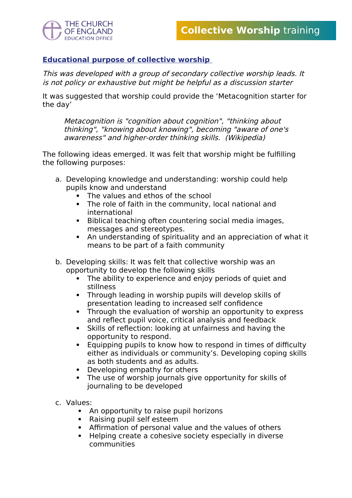

## **Educational purpose of collective worship**

This was developed with a group of secondary collective worship leads. It is not policy or exhaustive but might be helpful as a discussion starter

It was suggested that worship could provide the 'Metacognition starter for the day'

Metacognition is "cognition about cognition", "thinking about thinking", "knowing about knowing", becoming "aware of one's awareness" and higher-order thinking skills. (Wikipedia)

The following ideas emerged. It was felt that worship might be fulfilling the following purposes:

- a. Developing knowledge and understanding: worship could help pupils know and understand
	- The values and ethos of the school
	- The role of faith in the community, local national and international
	- Biblical teaching often countering social media images, messages and stereotypes.
	- An understanding of spirituality and an appreciation of what it means to be part of a faith community
- b. Developing skills: It was felt that collective worship was an opportunity to develop the following skills
	- The ability to experience and enjoy periods of quiet and stillness
	- Through leading in worship pupils will develop skills of presentation leading to increased self confidence
	- Through the evaluation of worship an opportunity to express and reflect pupil voice, critical analysis and feedback
	- Skills of reflection: looking at unfairness and having the opportunity to respond.
	- Equipping pupils to know how to respond in times of difficulty either as individuals or community's. Developing coping skills as both students and as adults.
	- Developing empathy for others
	- The use of worship journals give opportunity for skills of journaling to be developed
- c. Values:
	- An opportunity to raise pupil horizons
	- Raising pupil self esteem
	- Affirmation of personal value and the values of others
	- Helping create a cohesive society especially in diverse communities